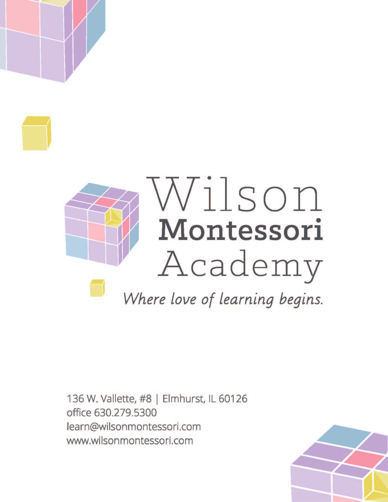

136 W. Vallette, #8 | Elmhurst, IL 60126 office 630,279,5300 learn@wilsonmontessori.com www.wilsonmontessori.com

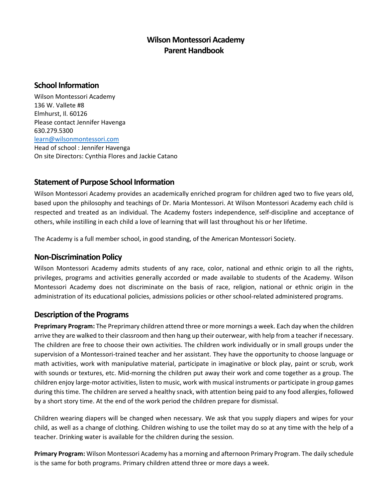# **Wilson Montessori Academy Parent Handbook**

### **School Information**

Wilson Montessori Academy 136 W. Vallete #8 Elmhurst, Il. 60126 Please contact Jennifer Havenga 630.279.5300 [learn@wilsonmontessori.com](mailto:learn@wilsonmontessori.com) Head of school : Jennifer Havenga

On site Directors: Cynthia Flores and Jackie Catano

# **Statement of Purpose School Information**

Wilson Montessori Academy provides an academically enriched program for children aged two to five years old, based upon the philosophy and teachings of Dr. Maria Montessori. At Wilson Montessori Academy each child is respected and treated as an individual. The Academy fosters independence, self-discipline and acceptance of others, while instilling in each child a love of learning that will last throughout his or her lifetime.

The Academy is a full member school, in good standing, of the American Montessori Society.

### **Non-Discrimination Policy**

Wilson Montessori Academy admits students of any race, color, national and ethnic origin to all the rights, privileges, programs and activities generally accorded or made available to students of the Academy. Wilson Montessori Academy does not discriminate on the basis of race, religion, national or ethnic origin in the administration of its educational policies, admissions policies or other school-related administered programs.

### **Description of the Programs**

**Preprimary Program:** The Preprimary children attend three or more mornings a week. Each day when the children arrive they are walked to their classroom and then hang up their outerwear, with help from a teacher if necessary. The children are free to choose their own activities. The children work individually or in small groups under the supervision of a Montessori-trained teacher and her assistant. They have the opportunity to choose language or math activities, work with manipulative material, participate in imaginative or block play, paint or scrub, work with sounds or textures, etc. Mid-morning the children put away their work and come together as a group. The children enjoy large-motor activities, listen to music, work with musical instruments or participate in group games during this time. The children are served a healthy snack, with attention being paid to any food allergies, followed by a short story time. At the end of the work period the children prepare for dismissal.

Children wearing diapers will be changed when necessary. We ask that you supply diapers and wipes for your child, as well as a change of clothing. Children wishing to use the toilet may do so at any time with the help of a teacher. Drinking water is available for the children during the session.

**Primary Program:** Wilson Montessori Academy has a morning and afternoon Primary Program. The daily schedule is the same for both programs. Primary children attend three or more days a week.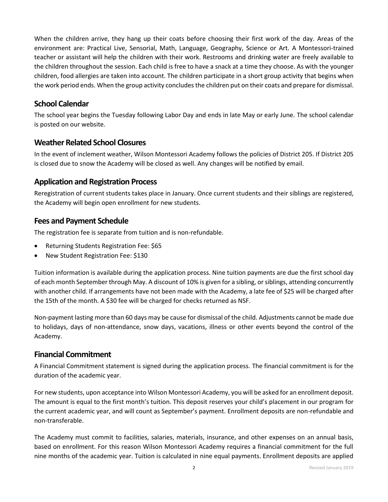When the children arrive, they hang up their coats before choosing their first work of the day. Areas of the environment are: Practical Live, Sensorial, Math, Language, Geography, Science or Art. A Montessori-trained teacher or assistant will help the children with their work. Restrooms and drinking water are freely available to the children throughout the session. Each child is free to have a snack at a time they choose. As with the younger children, food allergies are taken into account. The children participate in a short group activity that begins when the work period ends. When the group activity concludes the children put on their coats and prepare for dismissal.

### **School Calendar**

The school year begins the Tuesday following Labor Day and ends in late May or early June. The school calendar is posted on our website.

### **Weather Related School Closures**

In the event of inclement weather, Wilson Montessori Academy follows the policies of District 205. If District 205 is closed due to snow the Academy will be closed as well. Any changes will be notified by email.

### **Application and Registration Process**

Reregistration of current students takes place in January. Once current students and their siblings are registered, the Academy will begin open enrollment for new students.

### **Fees and Payment Schedule**

The registration fee is separate from tuition and is non-refundable.

- Returning Students Registration Fee: \$65
- New Student Registration Fee: \$130

Tuition information is available during the application process. Nine tuition payments are due the first school day of each month September through May. A discount of 10% is given for a sibling, or siblings, attending concurrently with another child. If arrangements have not been made with the Academy, a late fee of \$25 will be charged after the 15th of the month. A \$30 fee will be charged for checks returned as NSF.

Non-payment lasting more than 60 days may be cause for dismissal of the child. Adjustments cannot be made due to holidays, days of non-attendance, snow days, vacations, illness or other events beyond the control of the Academy.

### **Financial Commitment**

A Financial Commitment statement is signed during the application process. The financial commitment is for the duration of the academic year.

For new students, upon acceptance into Wilson Montessori Academy, you will be asked for an enrollment deposit. The amount is equal to the first month's tuition. This deposit reserves your child's placement in our program for the current academic year, and will count as September's payment. Enrollment deposits are non-refundable and non-transferable.

The Academy must commit to facilities, salaries, materials, insurance, and other expenses on an annual basis, based on enrollment. For this reason Wilson Montessori Academy requires a financial commitment for the full nine months of the academic year. Tuition is calculated in nine equal payments. Enrollment deposits are applied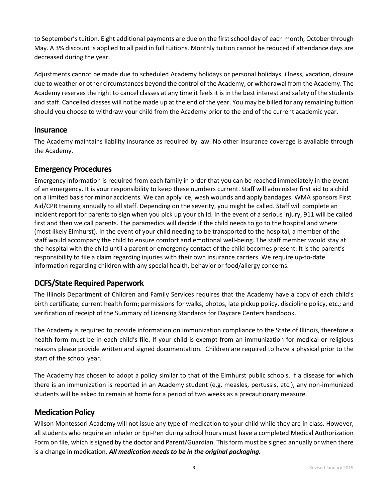to September's tuition. Eight additional payments are due on the first school day of each month, October through May. A 3% discount is applied to all paid in full tuitions. Monthly tuition cannot be reduced if attendance days are decreased during the year.

Adjustments cannot be made due to scheduled Academy holidays or personal holidays, illness, vacation, closure due to weather or other circumstances beyond the control of the Academy, or withdrawal from the Academy. The Academy reserves the right to cancel classes at any time it feels it is in the best interest and safety of the students and staff. Cancelled classes will not be made up at the end of the year. You may be billed for any remaining tuition should you choose to withdraw your child from the Academy prior to the end of the current academic year.

### **Insurance**

The Academy maintains liability insurance as required by law. No other insurance coverage is available through the Academy.

### **Emergency Procedures**

Emergency information is required from each family in order that you can be reached immediately in the event of an emergency. It is your responsibility to keep these numbers current. Staff will administer first aid to a child on a limited basis for minor accidents. We can apply ice, wash wounds and apply bandages. WMA sponsors First Aid/CPR training annually to all staff. Depending on the severity, you might be called. Staff will complete an incident report for parents to sign when you pick up your child. In the event of a serious injury, 911 will be called first and then we call parents. The paramedics will decide if the child needs to go to the hospital and where (most likely Elmhurst). In the event of your child needing to be transported to the hospital, a member of the staff would accompany the child to ensure comfort and emotional well-being. The staff member would stay at the hospital with the child until a parent or emergency contact of the child becomes present. It is the parent's responsibility to file a claim regarding injuries with their own insurance carriers. We require up-to-date information regarding children with any special health, behavior or food/allergy concerns.

### **DCFS/State Required Paperwork**

The Illinois Department of Children and Family Services requires that the Academy have a copy of each child's birth certificate; current health form; permissions for walks, photos, late pickup policy, discipline policy, etc.; and verification of receipt of the Summary of Licensing Standards for Daycare Centers handbook.

The Academy is required to provide information on immunization compliance to the State of Illinois, therefore a health form must be in each child's file. If your child is exempt from an immunization for medical or religious reasons please provide written and signed documentation. Children are required to have a physical prior to the start of the school year.

The Academy has chosen to adopt a policy similar to that of the Elmhurst public schools. If a disease for which there is an immunization is reported in an Academy student (e.g. measles, pertussis, etc.), any non-immunized students will be asked to remain at home for a period of two weeks as a precautionary measure.

### **Medication Policy**

Wilson Montessori Academy will not issue any type of medication to your child while they are in class. However, all students who require an inhaler or Epi-Pen during school hours must have a completed Medical Authorization Form on file, which is signed by the doctor and Parent/Guardian. This form must be signed annually or when there is a change in medication. *All medication needs to be in the original packaging.*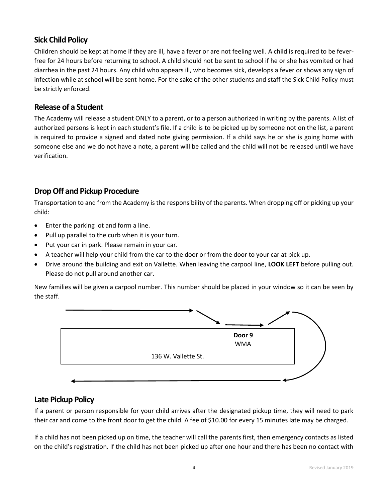# **Sick Child Policy**

Children should be kept at home if they are ill, have a fever or are not feeling well. A child is required to be feverfree for 24 hours before returning to school. A child should not be sent to school if he or she has vomited or had diarrhea in the past 24 hours. Any child who appears ill, who becomes sick, develops a fever or shows any sign of infection while at school will be sent home. For the sake of the other students and staff the Sick Child Policy must be strictly enforced.

# **Release of a Student**

The Academy will release a student ONLY to a parent, or to a person authorized in writing by the parents. A list of authorized persons is kept in each student's file. If a child is to be picked up by someone not on the list, a parent is required to provide a signed and dated note giving permission. If a child says he or she is going home with someone else and we do not have a note, a parent will be called and the child will not be released until we have verification.

# **Drop Off and Pickup Procedure**

Transportation to and from the Academy is the responsibility of the parents. When dropping off or picking up your child:

- Enter the parking lot and form a line.
- Pull up parallel to the curb when it is your turn.
- Put your car in park. Please remain in your car.
- A teacher will help your child from the car to the door or from the door to your car at pick up.
- Drive around the building and exit on Vallette. When leaving the carpool line, **LOOK LEFT** before pulling out. Please do not pull around another car.

New families will be given a carpool number. This number should be placed in your window so it can be seen by the staff.



# **Late Pickup Policy**

If a parent or person responsible for your child arrives after the designated pickup time, they will need to park their car and come to the front door to get the child. A fee of \$10.00 for every 15 minutes late may be charged.

If a child has not been picked up on time, the teacher will call the parents first, then emergency contacts as listed on the child's registration. If the child has not been picked up after one hour and there has been no contact with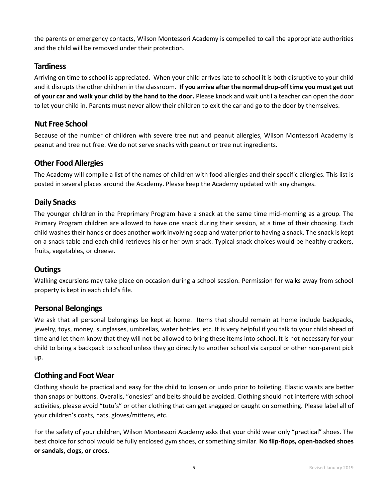the parents or emergency contacts, Wilson Montessori Academy is compelled to call the appropriate authorities and the child will be removed under their protection.

### **Tardiness**

Arriving on time to school is appreciated. When your child arrives late to school it is both disruptive to your child and it disrupts the other children in the classroom. **If you arrive after the normal drop-off time you must get out of your car and walk your child by the hand to the door.** Please knock and wait until a teacher can open the door to let your child in. Parents must never allow their children to exit the car and go to the door by themselves.

### **Nut Free School**

Because of the number of children with severe tree nut and peanut allergies, Wilson Montessori Academy is peanut and tree nut free. We do not serve snacks with peanut or tree nut ingredients.

# **Other Food Allergies**

The Academy will compile a list of the names of children with food allergies and their specific allergies. This list is posted in several places around the Academy. Please keep the Academy updated with any changes.

### **Daily Snacks**

The younger children in the Preprimary Program have a snack at the same time mid-morning as a group. The Primary Program children are allowed to have one snack during their session, at a time of their choosing. Each child washes their hands or does another work involving soap and water prior to having a snack. The snack is kept on a snack table and each child retrieves his or her own snack. Typical snack choices would be healthy crackers, fruits, vegetables, or cheese.

# **Outings**

Walking excursions may take place on occasion during a school session. Permission for walks away from school property is kept in each child's file.

### **Personal Belongings**

We ask that all personal belongings be kept at home. Items that should remain at home include backpacks, jewelry, toys, money, sunglasses, umbrellas, water bottles, etc. It is very helpful if you talk to your child ahead of time and let them know that they will not be allowed to bring these items into school. It is not necessary for your child to bring a backpack to school unless they go directly to another school via carpool or other non-parent pick up.

### **Clothing and Foot Wear**

Clothing should be practical and easy for the child to loosen or undo prior to toileting. Elastic waists are better than snaps or buttons. Overalls, "onesies" and belts should be avoided. Clothing should not interfere with school activities, please avoid "tutu's" or other clothing that can get snagged or caught on something. Please label all of your children's coats, hats, gloves/mittens, etc.

For the safety of your children, Wilson Montessori Academy asks that your child wear only "practical" shoes. The best choice for school would be fully enclosed gym shoes, or something similar. **No flip-flops, open-backed shoes or sandals, clogs, or crocs.**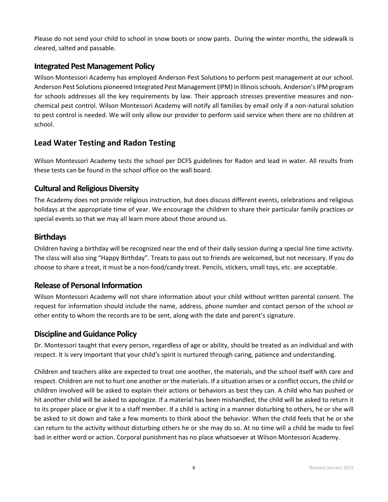Please do not send your child to school in snow boots or snow pants. During the winter months, the sidewalk is cleared, salted and passable.

### **Integrated Pest Management Policy**

Wilson Montessori Academy has employed Anderson Pest Solutions to perform pest management at our school. Anderson Pest Solutions pioneered Integrated Pest Management (IPM) in Illinois schools. Anderson's IPM program for schools addresses all the key requirements by law. Their approach stresses preventive measures and nonchemical pest control. Wilson Montessori Academy will notify all families by email only if a non-natural solution to pest control is needed. We will only allow our provider to perform said service when there are no children at school.

# **Lead Water Testing and Radon Testing**

Wilson Montessori Academy tests the school per DCFS guidelines for Radon and lead in water. All results from these tests can be found in the school office on the wall board.

### **Cultural and Religious Diversity**

The Academy does not provide religious instruction, but does discuss different events, celebrations and religious holidays at the appropriate time of year. We encourage the children to share their particular family practices or special events so that we may all learn more about those around us.

### **Birthdays**

Children having a birthday will be recognized near the end of their daily session during a special line time activity. The class will also sing "Happy Birthday". Treats to pass out to friends are welcomed, but not necessary. If you do choose to share a treat, it must be a non-food/candy treat. Pencils, stickers, small toys, etc. are acceptable.

# **Release of Personal Information**

Wilson Montessori Academy will not share information about your child without written parental consent. The request for information should include the name, address, phone number and contact person of the school or other entity to whom the records are to be sent, along with the date and parent's signature.

### **Discipline and Guidance Policy**

Dr. Montessori taught that every person, regardless of age or ability, should be treated as an individual and with respect. It is very important that your child's spirit is nurtured through caring, patience and understanding.

Children and teachers alike are expected to treat one another, the materials, and the school itself with care and respect. Children are not to hurt one another or the materials. If a situation arises or a conflict occurs, the child or children involved will be asked to explain their actions or behaviors as best they can. A child who has pushed or hit another child will be asked to apologize. If a material has been mishandled, the child will be asked to return it to its proper place or give it to a staff member. If a child is acting in a manner disturbing to others, he or she will be asked to sit down and take a few moments to think about the behavior. When the child feels that he or she can return to the activity without disturbing others he or she may do so. At no time will a child be made to feel bad in either word or action. Corporal punishment has no place whatsoever at Wilson Montessori Academy.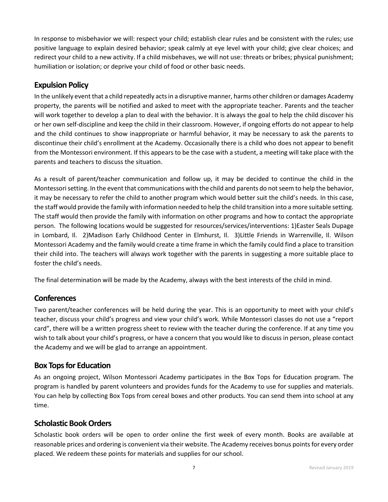In response to misbehavior we will: respect your child; establish clear rules and be consistent with the rules; use positive language to explain desired behavior; speak calmly at eye level with your child; give clear choices; and redirect your child to a new activity. If a child misbehaves, we will not use: threats or bribes; physical punishment; humiliation or isolation; or deprive your child of food or other basic needs.

# **Expulsion Policy**

In the unlikely event that a child repeatedly acts in a disruptive manner, harms other children or damages Academy property, the parents will be notified and asked to meet with the appropriate teacher. Parents and the teacher will work together to develop a plan to deal with the behavior. It is always the goal to help the child discover his or her own self-discipline and keep the child in their classroom. However, if ongoing efforts do not appear to help and the child continues to show inappropriate or harmful behavior, it may be necessary to ask the parents to discontinue their child's enrollment at the Academy. Occasionally there is a child who does not appear to benefit from the Montessori environment. If this appears to be the case with a student, a meeting will take place with the parents and teachers to discuss the situation.

As a result of parent/teacher communication and follow up, it may be decided to continue the child in the Montessori setting. In the event that communications with the child and parents do not seem to help the behavior, it may be necessary to refer the child to another program which would better suit the child's needs. In this case, the staff would provide the family with information needed to help the child transition into a more suitable setting. The staff would then provide the family with information on other programs and how to contact the appropriate person. The following locations would be suggested for resources/services/interventions: 1)Easter Seals Dupage in Lombard, Il. 2)Madison Early Childhood Center in Elmhurst, Il. 3)Little Friends in Warrenville, Il. Wilson Montessori Academy and the family would create a time frame in which the family could find a place to transition their child into. The teachers will always work together with the parents in suggesting a more suitable place to foster the child's needs.

The final determination will be made by the Academy, always with the best interests of the child in mind.

# **Conferences**

Two parent/teacher conferences will be held during the year. This is an opportunity to meet with your child's teacher, discuss your child's progress and view your child's work. While Montessori classes do not use a "report card", there will be a written progress sheet to review with the teacher during the conference. If at any time you wish to talk about your child's progress, or have a concern that you would like to discuss in person, please contact the Academy and we will be glad to arrange an appointment.

# **Box Tops for Education**

As an ongoing project, Wilson Montessori Academy participates in the Box Tops for Education program. The program is handled by parent volunteers and provides funds for the Academy to use for supplies and materials. You can help by collecting Box Tops from cereal boxes and other products. You can send them into school at any time.

### **Scholastic Book Orders**

Scholastic book orders will be open to order online the first week of every month. Books are available at reasonable prices and ordering is convenient via their website. The Academy receives bonus points for every order placed. We redeem these points for materials and supplies for our school.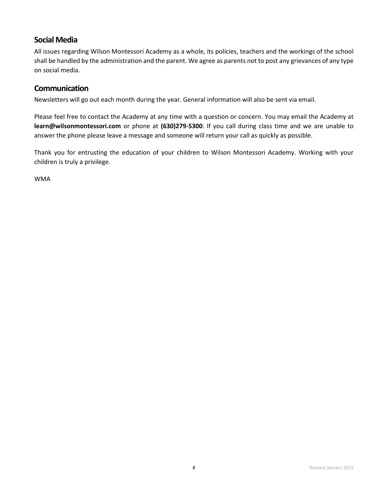### **Social Media**

All issues regarding Wilson Montessori Academy as a whole, its policies, teachers and the workings of the school shall be handled by the administration and the parent. We agree as parents not to post any grievances of any type on social media.

### **Communication**

Newsletters will go out each month during the year. General information will also be sent via email.

Please feel free to contact the Academy at any time with a question or concern. You may email the Academy at **learn@wilsonmontessori.com** or phone at **(630)279-5300**. If you call during class time and we are unable to answer the phone please leave a message and someone will return your call as quickly as possible.

Thank you for entrusting the education of your children to Wilson Montessori Academy. Working with your children is truly a privilege.

WMA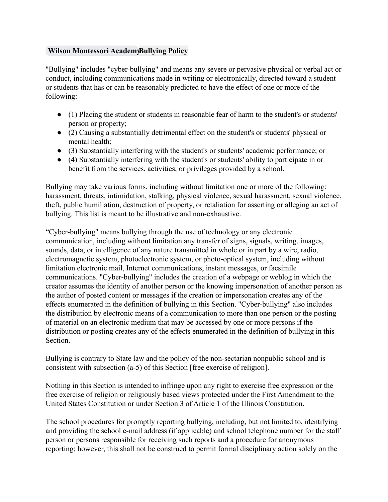### **[Wilson Montessori Academy](mailto:learn@wilsonmontessori.com)Bullying Policy**

"Bullying" includes "cyber-bullying" and means any severe or pervasive physical or verbal act or conduct, including communications made in writing or electronically, directed toward a student or students that has or can be reasonably predicted to have the effect of one or more of the following:

- (1) Placing the student or students in reasonable fear of harm to the student's or students' person or property;
- (2) Causing a substantially detrimental effect on the student's or students' physical or mental health;
- (3) Substantially interfering with the student's or students' academic performance; or
- (4) Substantially interfering with the student's or students' ability to participate in or benefit from the services, activities, or privileges provided by a school.

Bullying may take various forms, including without limitation one or more of the following: harassment, threats, intimidation, stalking, physical violence, sexual harassment, sexual violence, theft, public humiliation, destruction of property, or retaliation for asserting or alleging an act of bullying. This list is meant to be illustrative and non-exhaustive.

"Cyber-bullying" means bullying through the use of technology or any electronic communication, including without limitation any transfer of signs, signals, writing, images, sounds, data, or intelligence of any nature transmitted in whole or in part by a wire, radio, electromagnetic system, photoelectronic system, or photo-optical system, including without limitation electronic mail, Internet communications, instant messages, or facsimile communications. "Cyber-bullying" includes the creation of a webpage or weblog in which the creator assumes the identity of another person or the knowing impersonation of another person as the author of posted content or messages if the creation or impersonation creates any of the effects enumerated in the definition of bullying in this Section. "Cyber-bullying" also includes the distribution by electronic means of a communication to more than one person or the posting of material on an electronic medium that may be accessed by one or more persons if the distribution or posting creates any of the effects enumerated in the definition of bullying in this Section.

Bullying is contrary to State law and the policy of the non-sectarian nonpublic school and is consistent with subsection (a-5) of this Section [free exercise of religion].

Nothing in this Section is intended to infringe upon any right to exercise free expression or the free exercise of religion or religiously based views protected under the First Amendment to the United States Constitution or under Section 3 of Article 1 of the Illinois Constitution.

The school procedures for promptly reporting bullying, including, but not limited to, identifying and providing the school e-mail address (if applicable) and school telephone number for the staff person or persons responsible for receiving such reports and a procedure for anonymous reporting; however, this shall not be construed to permit formal disciplinary action solely on the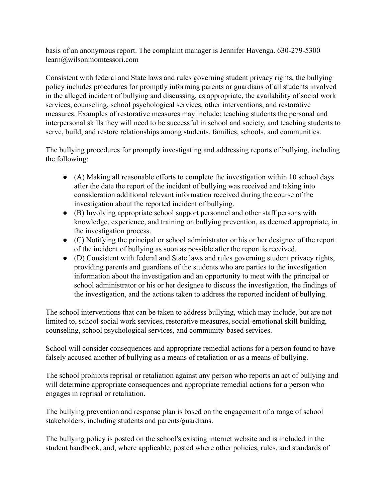basis of an anonymous report. The complaint manager is Jennifer Havenga. 630-279-5300 learn@wilsonmomtessori.com

Consistent with federal and State laws and rules governing student privacy rights, the bullying policy includes procedures for promptly informing parents or guardians of all students involved in the alleged incident of bullying and discussing, as appropriate, the availability of social work services, counseling, school psychological services, other interventions, and restorative measures. Examples of restorative measures may include: teaching students the personal and interpersonal skills they will need to be successful in school and society, and teaching students to serve, build, and restore relationships among students, families, schools, and communities.

The bullying procedures for promptly investigating and addressing reports of bullying, including the following:

- (A) Making all reasonable efforts to complete the investigation within 10 school days after the date the report of the incident of bullying was received and taking into consideration additional relevant information received during the course of the investigation about the reported incident of bullying.
- (B) Involving appropriate school support personnel and other staff persons with knowledge, experience, and training on bullying prevention, as deemed appropriate, in the investigation process.
- (C) Notifying the principal or school administrator or his or her designee of the report of the incident of bullying as soon as possible after the report is received.
- (D) Consistent with federal and State laws and rules governing student privacy rights, providing parents and guardians of the students who are parties to the investigation information about the investigation and an opportunity to meet with the principal or school administrator or his or her designee to discuss the investigation, the findings of the investigation, and the actions taken to address the reported incident of bullying.

The school interventions that can be taken to address bullying, which may include, but are not limited to, school social work services, restorative measures, social-emotional skill building, counseling, school psychological services, and community-based services.

School will consider consequences and appropriate remedial actions for a person found to have falsely accused another of bullying as a means of retaliation or as a means of bullying.

The school prohibits reprisal or retaliation against any person who reports an act of bullying and will determine appropriate consequences and appropriate remedial actions for a person who engages in reprisal or retaliation.

The bullying prevention and response plan is based on the engagement of a range of school stakeholders, including students and parents/guardians.

The bullying policy is posted on the school's existing internet website and is included in the student handbook, and, where applicable, posted where other policies, rules, and standards of